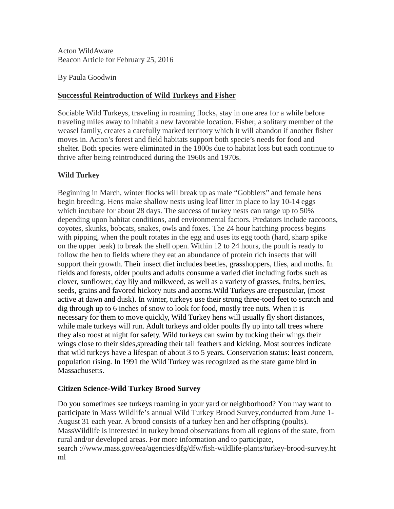Acton WildAware Beacon Article for February 25, 2016

By Paula Goodwin

## **Successful Reintroduction of Wild Turkeys and Fisher**

Sociable Wild Turkeys, traveling in roaming flocks, stay in one area for a while before traveling miles away to inhabit a new favorable location. Fisher, a solitary member of the weasel family, creates a carefully marked territory which it will abandon if another fisher moves in. Acton's forest and field habitats support both specie's needs for food and shelter. Both species were eliminated in the 1800s due to habitat loss but each continue to thrive after being reintroduced during the 1960s and 1970s.

# **Wild Turkey**

Beginning in March, winter flocks will break up as male "Gobblers" and female hens begin breeding. Hens make shallow nests using leaf litter in place to lay 10-14 eggs which incubate for about 28 days. The success of turkey nests can range up to 50% depending upon habitat conditions, and environmental factors. Predators include raccoons, coyotes, skunks, bobcats, snakes, owls and foxes. The 24 hour hatching process begins with pipping, when the poult rotates in the egg and uses its egg tooth (hard, sharp spike on the upper beak) to break the shell open. Within 12 to 24 hours, the poult is ready to follow the hen to fields where they eat an abundance of protein rich insects that will support their growth. Their insect diet includes beetles, grasshoppers, flies, and moths. In fields and forests, older poults and adults consume a varied diet including forbs such as clover, sunflower, day lily and milkweed, as well as a variety of grasses, fruits, berries, seeds, grains and favored hickory nuts and acorns.Wild Turkeys are crepuscular, (most active at dawn and dusk). In winter, turkeys use their strong three-toed feet to scratch and dig through up to 6 inches of snow to look for food, mostly tree nuts. When it is necessary for them to move quickly, Wild Turkey hens will usually fly short distances, while male turkeys will run. Adult turkeys and older poults fly up into tall trees where they also roost at night for safety. Wild turkeys can swim by tucking their wings their wings close to their sides,spreading their tail feathers and kicking. Most sources indicate that wild turkeys have a lifespan of about 3 to 5 years. Conservation status: least concern, population rising. In 1991 the Wild Turkey was recognized as the state game bird in Massachusetts.

# **Citizen Science-Wild Turkey Brood Survey**

Do you sometimes see turkeys roaming in your yard or neighborhood? You may want to participate in Mass Wildlife's annual Wild Turkey Brood Survey,conducted from June 1- August 31 each year. A brood consists of a turkey hen and her offspring (poults). MassWildlife is interested in turkey brood observations from all regions of the state, from rural and/or developed areas. For more information and to participate, search ://www.mass.gov/eea/agencies/dfg/dfw/fish-wildlife-plants/turkey-brood-survey.ht ml